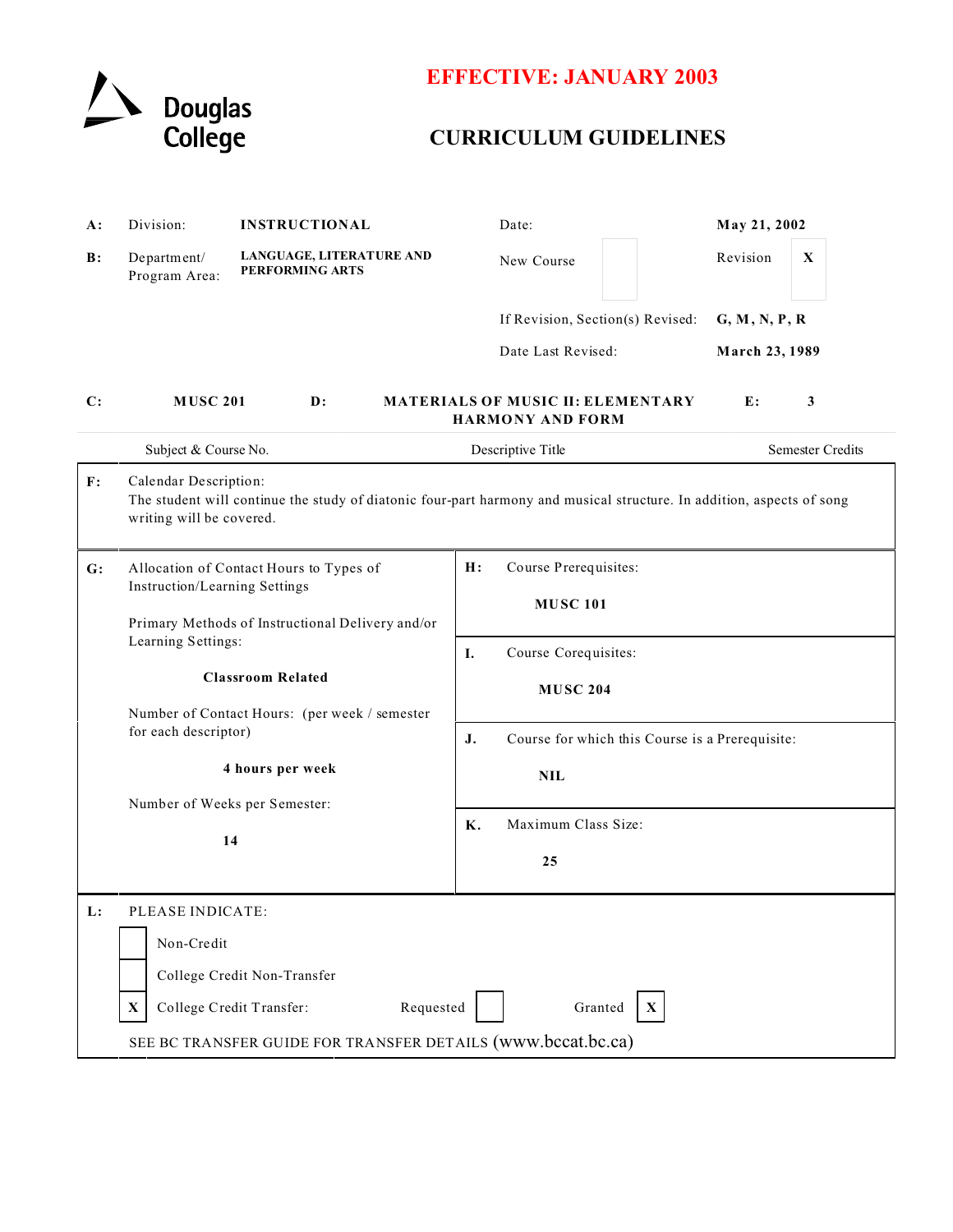

# **EFFECTIVE: JANUARY 2003**

## **CURRICULUM GUIDELINES**

| A:             | Division:                                                                                                                                                                                                                              | <b>INSTRUCTIONAL</b>                        | Date:                                                               | May 21, 2002                    |  |
|----------------|----------------------------------------------------------------------------------------------------------------------------------------------------------------------------------------------------------------------------------------|---------------------------------------------|---------------------------------------------------------------------|---------------------------------|--|
| $\mathbf{B}$ : | Department/<br>Program Area:                                                                                                                                                                                                           | LANGUAGE, LITERATURE AND<br>PERFORMING ARTS | New Course                                                          | Revision<br>X                   |  |
|                |                                                                                                                                                                                                                                        |                                             | If Revision, Section(s) Revised:<br>Date Last Revised:              | G, M, N, P, R<br>March 23, 1989 |  |
|                |                                                                                                                                                                                                                                        |                                             |                                                                     |                                 |  |
| $\mathbf{C}$ : | <b>MUSC 201</b>                                                                                                                                                                                                                        | $\mathbf{D}$ :                              | <b>MATERIALS OF MUSIC II: ELEMENTARY</b><br><b>HARMONY AND FORM</b> | 3<br>E:                         |  |
|                | Subject & Course No.                                                                                                                                                                                                                   |                                             | Descriptive Title                                                   | <b>Semester Credits</b>         |  |
| F:             | Calendar Description:<br>The student will continue the study of diatonic four-part harmony and musical structure. In addition, aspects of song<br>writing will be covered.                                                             |                                             |                                                                     |                                 |  |
| G:             |                                                                                                                                                                                                                                        | Allocation of Contact Hours to Types of     | H:<br>Course Prerequisites:                                         |                                 |  |
|                | Instruction/Learning Settings                                                                                                                                                                                                          |                                             | <b>MUSC 101</b>                                                     |                                 |  |
|                | Primary Methods of Instructional Delivery and/or<br>Learning Settings:<br><b>Classroom Related</b><br>Number of Contact Hours: (per week / semester<br>for each descriptor)<br>4 hours per week<br>Number of Weeks per Semester:<br>14 |                                             |                                                                     |                                 |  |
|                |                                                                                                                                                                                                                                        |                                             | I.<br>Course Corequisites:                                          |                                 |  |
|                |                                                                                                                                                                                                                                        |                                             | <b>MUSC 204</b>                                                     |                                 |  |
|                |                                                                                                                                                                                                                                        |                                             | J.                                                                  |                                 |  |
|                |                                                                                                                                                                                                                                        |                                             | Course for which this Course is a Prerequisite:                     |                                 |  |
|                |                                                                                                                                                                                                                                        |                                             | <b>NIL</b>                                                          |                                 |  |
|                |                                                                                                                                                                                                                                        |                                             | Maximum Class Size:<br>Κ.                                           |                                 |  |
|                |                                                                                                                                                                                                                                        |                                             |                                                                     |                                 |  |
|                |                                                                                                                                                                                                                                        |                                             | 25                                                                  |                                 |  |
| $\mathbf{L}$ : | PLEASE INDICATE:                                                                                                                                                                                                                       |                                             |                                                                     |                                 |  |
|                | Non-Credit                                                                                                                                                                                                                             |                                             |                                                                     |                                 |  |
|                |                                                                                                                                                                                                                                        | College Credit Non-Transfer                 |                                                                     |                                 |  |
|                | X                                                                                                                                                                                                                                      | College Credit Transfer:<br>Requested       | Granted<br>$\mathbf{X}$                                             |                                 |  |
|                | SEE BC TRANSFER GUIDE FOR TRANSFER DETAILS (www.bccat.bc.ca)                                                                                                                                                                           |                                             |                                                                     |                                 |  |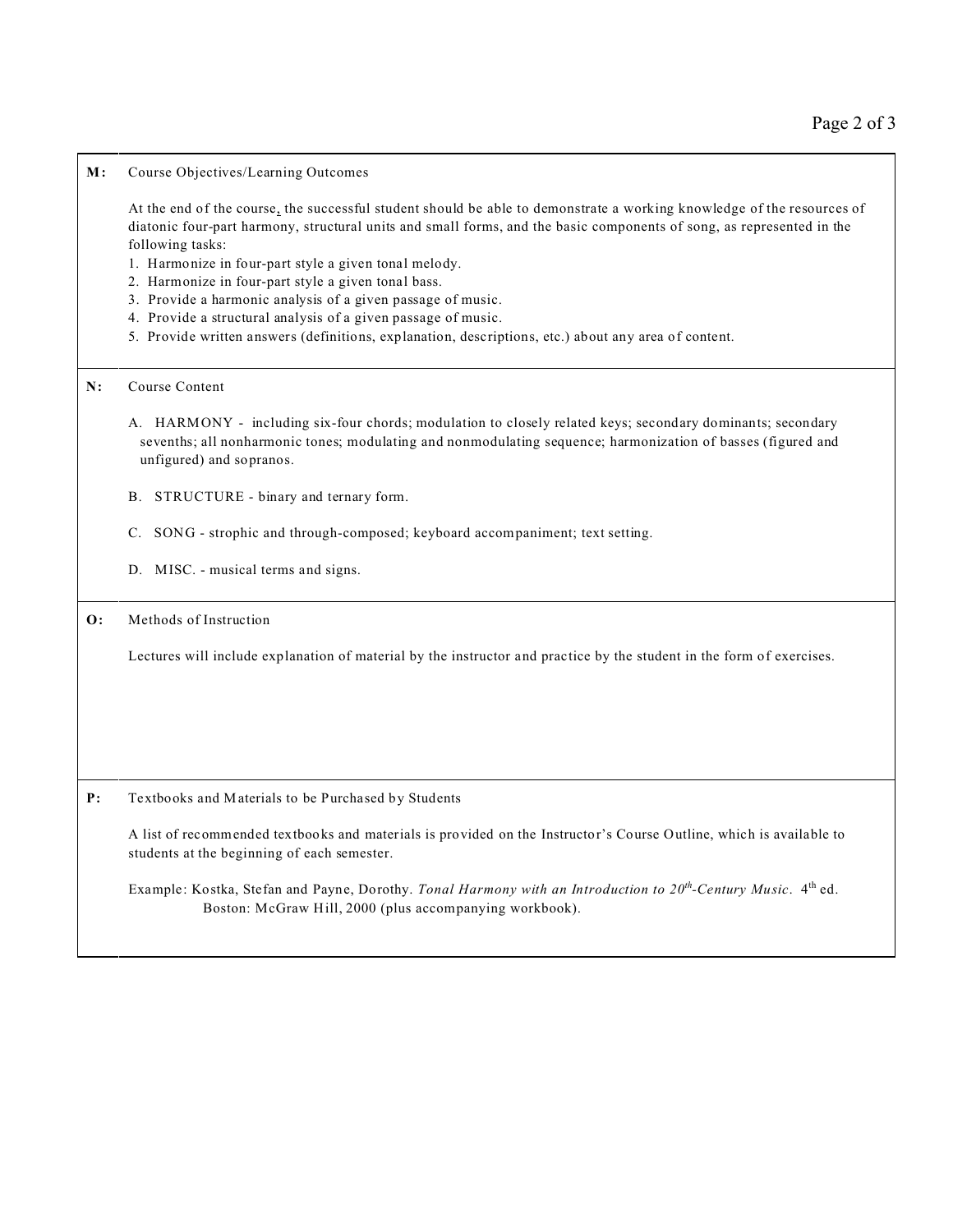#### **M:** Course Objectives/Learning Outcomes

At the end of the course, the successful student should be able to demonstrate a working knowledge of the resources of diatonic four-part harmony, structural units and small forms, and the basic components of song, as represented in the following tasks:

- 1. Harmonize in four-part style a given tonal melody.
- 2. Harmonize in four-part style a given tonal bass.
- 3. Provide a harmonic analysis of a given passage of music.
- 4. Provide a structural analysis of a given passage of music.
- 5. Provide written answers (definitions, explanation, descriptions, etc.) about any area of content.

## **N:** Course Content

- A. HARMONY including six-four chords; modulation to closely related keys; secondary dominants; secondary sevenths; all nonharmonic tones; modulating and nonmodulating sequence; harmonization of basses (figured and unfigured) and sopranos.
- B. STRUCTURE binary and ternary form.
- C. SONG strophic and through-composed; keyboard accompaniment; text setting.
- D. MISC. musical terms and signs.

## **O:** Methods of Instruction

Lectures will include explanation of material by the instructor and practice by the student in the form of exercises.

**P:** Textbooks and Materials to be Purchased by Students

A list of recommended textbooks and materials is provided on the Instructor's Course Outline, which is available to students at the beginning of each semester.

Example: Kostka, Stefan and Payne, Dorothy. *Tonal Harmony with an Introduction to 20th-Century Music*. 4th ed. Boston: McGraw Hill, 2000 (plus accompanying workbook).